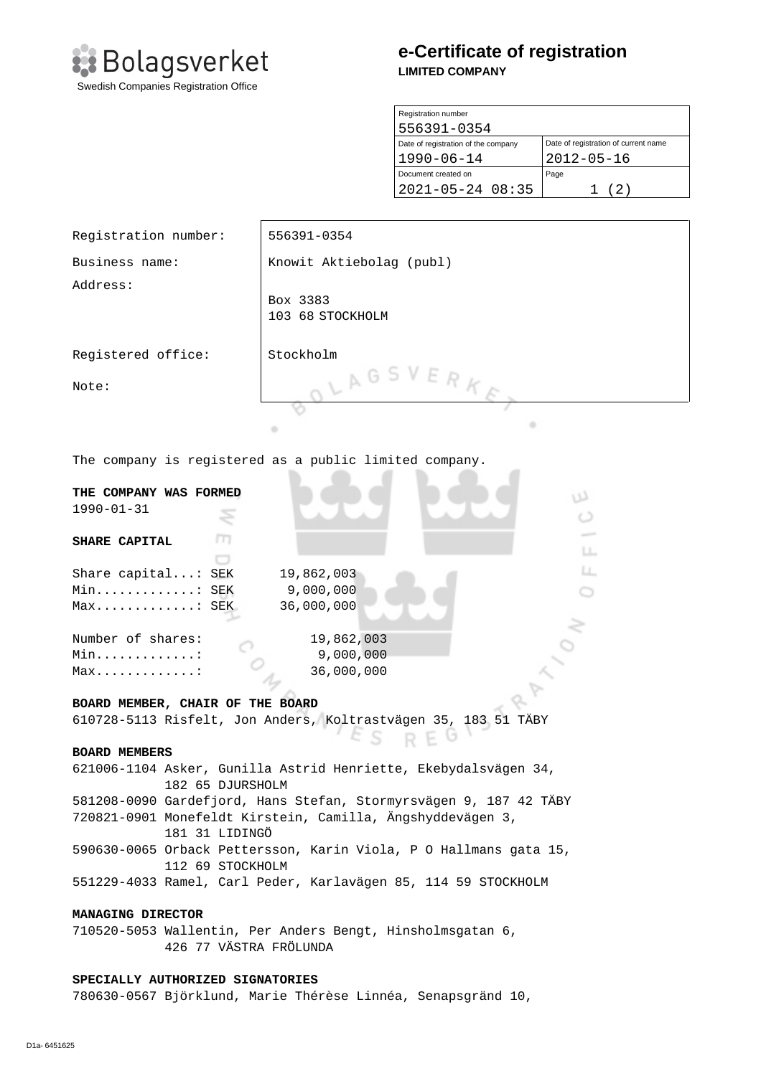

# **e-Certificate of registration LIMITED COMPANY**

| Registration number                 |                                      |  |
|-------------------------------------|--------------------------------------|--|
| 556391-0354                         |                                      |  |
| Date of registration of the company | Date of registration of current name |  |
| $1990 - 06 - 14$                    | $2012 - 05 - 16$                     |  |
| Document created on                 | Page                                 |  |
| $2021 - 05 - 24$ 08:35              | (2)                                  |  |

| Registration number:                                                                                                            | 556391-0354                  |  |
|---------------------------------------------------------------------------------------------------------------------------------|------------------------------|--|
| Business name:                                                                                                                  | Knowit Aktiebolag (publ)     |  |
| Address:                                                                                                                        | Box 3383<br>103 68 STOCKHOLM |  |
| Registered office:                                                                                                              | Stockholm                    |  |
| Note:                                                                                                                           | LAGSVERKE                    |  |
|                                                                                                                                 |                              |  |
|                                                                                                                                 | ٠<br>۰                       |  |
| The company is registered as a public limited company.                                                                          |                              |  |
| THE COMPANY WAS FORMED<br>w<br>$1990 - 01 - 31$<br>O                                                                            |                              |  |
| SHARE CAPITAL                                                                                                                   |                              |  |
|                                                                                                                                 | LL.                          |  |
| Share capital: SEK                                                                                                              | Ц.<br>19,862,003             |  |
| 9,000,000<br>Min: SEK                                                                                                           |                              |  |
| Max: SEK                                                                                                                        | 36,000,000                   |  |
| Number of shares:                                                                                                               | 19,862,003                   |  |
| Min. :                                                                                                                          | 9,000,000                    |  |
| $Max$                                                                                                                           | 36,000,000                   |  |
|                                                                                                                                 |                              |  |
| BOARD MEMBER, CHAIR OF THE BOARD                                                                                                |                              |  |
| 610728-5113 Risfelt, Jon Anders, Koltrastvägen 35, 183 51 TÄBY                                                                  |                              |  |
| REG                                                                                                                             |                              |  |
| <b>BOARD MEMBERS</b>                                                                                                            |                              |  |
| 621006-1104 Asker, Gunilla Astrid Henriette, Ekebydalsvägen 34,                                                                 |                              |  |
| 182 65 DJURSHOLM                                                                                                                |                              |  |
| 581208-0090 Gardefjord, Hans Stefan, Stormyrsvägen 9, 187 42 TÄBY<br>720821-0901 Monefeldt Kirstein, Camilla, Ängshyddevägen 3, |                              |  |
|                                                                                                                                 |                              |  |

181 31 LIDINGÖ

590630-0065 Orback Pettersson, Karin Viola, P O Hallmans gata 15, 112 69 STOCKHOLM

551229-4033 Ramel, Carl Peder, Karlavägen 85, 114 59 STOCKHOLM

## **MANAGING DIRECTOR**

710520-5053 Wallentin, Per Anders Bengt, Hinsholmsgatan 6, 426 77 VÄSTRA FRÖLUNDA

### **SPECIALLY AUTHORIZED SIGNATORIES**

780630-0567 Björklund, Marie Thérèse Linnéa, Senapsgränd 10,